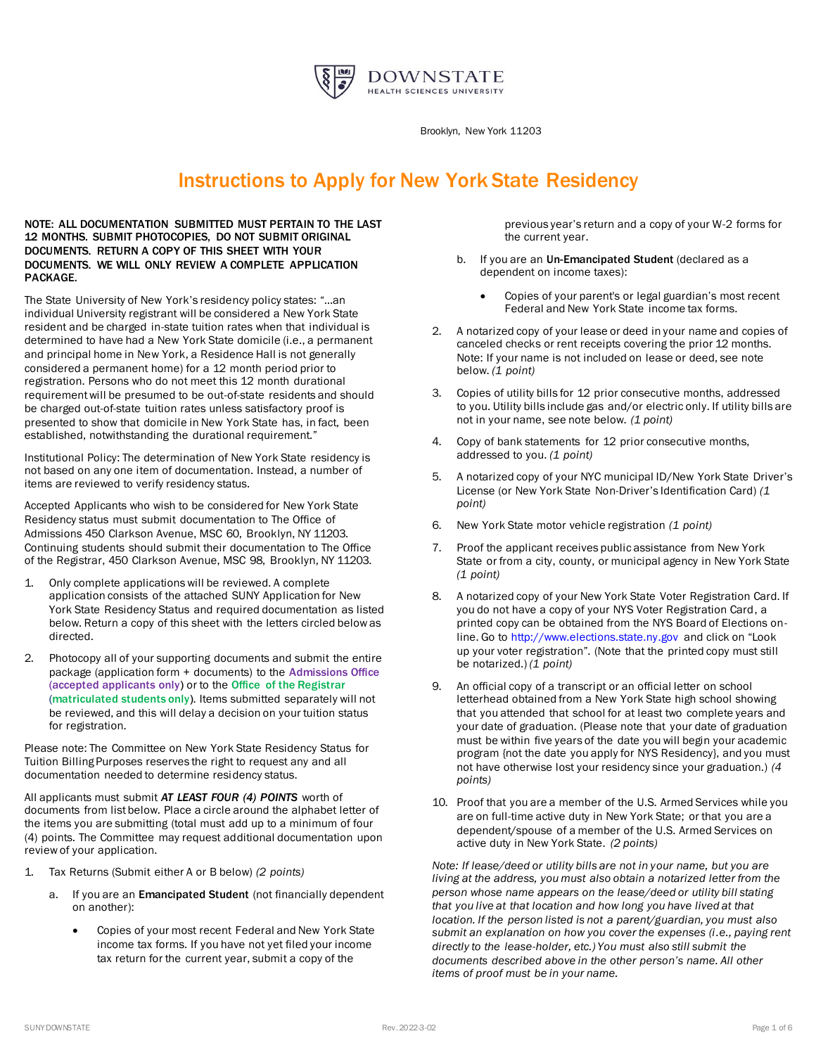

Brooklyn, New York 11203

## Instructions to Apply for New York State Residency

NOTE: ALL DOCUMENTATION SUBMITTED MUST PERTAIN TO THE LAST 12 MONTHS. SUBMIT PHOTOCOPIES, DO NOT SUBMIT ORIGINAL DOCUMENTS. RETURN A COPY OF THIS SHEET WITH YOUR DOCUMENTS. WE WILL ONLY REVIEW A COMPLETE APPLICATION PACKAGE.

The State University of New York's residency policy states: "…an individual University registrant will be considered a New York State resident and be charged in-state tuition rates when that individual is determined to have had a New York State domicile (i.e., a permanent and principal home in New York, a Residence Hall is not generally considered a permanent home) for a 12 month period prior to registration. Persons who do not meet this 12 month durational requirement will be presumed to be out-of-state residents and should be charged out-of-state tuition rates unless satisfactory proof is presented to show that domicile in New York State has, in fact, been established, notwithstanding the durational requirement."

Institutional Policy: The determination of New York State residency is not based on any one item of documentation. Instead, a number of items are reviewed to verify residency status.

Accepted Applicants who wish to be considered for New York State Residency status must submit documentation to The Office of Admissions 450 Clarkson Avenue, MSC 60, Brooklyn, NY 11203. Continuing students should submit their documentation to The Office of the Registrar, 450 Clarkson Avenue, MSC 98, Brooklyn, NY 11203.

- 1. Only complete applications will be reviewed. A complete application consists of the attached SUNY Application for New York State Residency Status and required documentation as listed below. Return a copy of this sheet with the letters circled below as directed.
- 2. Photocopy all of your supporting documents and submit the entire package (application form + documents) to the Admissions Office (accepted applicants only) or to the Office of the Registrar (matriculated students only). Items submitted separately will not be reviewed, and this will delay a decision on your tuition status for registration.

Please note: The Committee on New York State Residency Status for Tuition Billing Purposes reserves the right to request any and all documentation needed to determine residency status.

All applicants must submit *AT LEAST FOUR (4) POINTS* worth of documents from list below. Place a circle around the alphabet letter of the items you are submitting (total must add up to a minimum of four (4) points. The Committee may request additional documentation upon review of your application.

- 1. Tax Returns (Submit either A or B below) *(2 points)*
	- a. If you are an Emancipated Student (not financially dependent on another):
		- Copies of your most recent Federal and New York State income tax forms. If you have not yet filed your income tax return for the current year, submit a copy of the

previous year's return and a copy of your W-2 forms for the current year.

- b. If you are an Un-Emancipated Student (declared as a dependent on income taxes):
	- Copies of your parent's or legal guardian's most recent Federal and New York State income tax forms.
- 2. A notarized copy of your lease or deed in your name and copies of canceled checks or rent receipts covering the prior 12 months. Note: If your name is not included on lease or deed, see note below. *(1 point)*
- 3. Copies of utility bills for 12 prior consecutive months, addressed to you. Utility bills include gas and/or electric only. If utility bills are not in your name, see note below. *(1 point)*
- 4. Copy of bank statements for 12 prior consecutive months, addressed to you. *(1 point)*
- 5. A notarized copy of your NYC municipal ID/New York State Driver's License (or New York State Non-Driver's Identification Card) *(1 point)*
- 6. New York State motor vehicle registration *(1 point)*
- 7. Proof the applicant receives public assistance from New York State or from a city, county, or municipal agency in New York State *(1 point)*
- 8. A notarized copy of your New York State Voter Registration Card. If you do not have a copy of your NYS Voter Registration Card, a printed copy can be obtained from the NYS Board of Elections online. Go t[o http://www.elections.state.ny.gov](http://www.elections.state.ny.gov/) and click on "Look up your voter registration". (Note that the printed copy must still be notarized.) *(1 point)*
- 9. An official copy of a transcript or an official letter on school letterhead obtained from a New York State high school showing that you attended that school for at least two complete years and your date of graduation. (Please note that your date of graduation must be within five years of the date you will begin your academic program {not the date you apply for NYS Residency}, and you must not have otherwise lost your residency since your graduation.) *(4 points)*
- 10. Proof that you are a member of the U.S. Armed Services while you are on full-time active duty in New York State; or that you are a dependent/spouse of a member of the U.S. Armed Services on active duty in New York State. *(2 points)*

*Note: If lease/deed or utility bills are not in your name, but you are living at the address, you must also obtain a notarized letter from the person whose name appears on the lease/deed or utility bill stating that you live at that location and how long you have lived at that location. If the person listed is not a parent/guardian, you must also submit an explanation on how you cover the expenses (i.e., paying rent directly to the lease-holder, etc.) You must also still submit the documents described above in the other person's name. All other items of proof must be in your name.*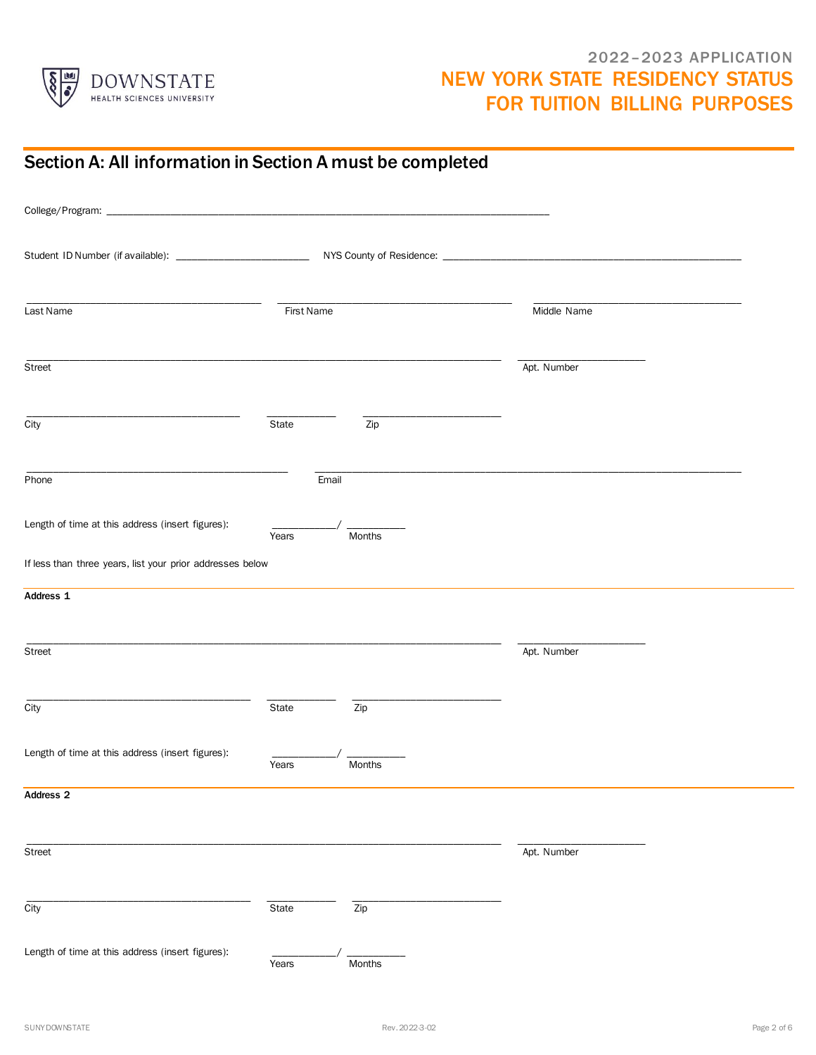

#### 2022–2023 APPLICATION NEW YORK STATE RESIDENCY STATUS FOR TUITION BILLING PURPOSES

| Section A: All information in Section A must be completed |            |                    |             |  |
|-----------------------------------------------------------|------------|--------------------|-------------|--|
|                                                           |            |                    |             |  |
|                                                           |            |                    |             |  |
| Last Name                                                 | First Name |                    | Middle Name |  |
| Street                                                    |            |                    | Apt. Number |  |
| City                                                      | State      | $\overline{Zip}$   |             |  |
| Phone                                                     |            | Email              |             |  |
| Length of time at this address (insert figures):          | Years      | Months             |             |  |
| If less than three years, list your prior addresses below |            |                    |             |  |
| Address 1                                                 |            |                    |             |  |
| Street                                                    |            |                    | Apt. Number |  |
| City                                                      | State      | $\overline{Zip}$   |             |  |
| Length of time at this address (insert figures):          | Years      | $\prime$<br>Months |             |  |
| Address <sub>2</sub>                                      |            |                    |             |  |
| Street                                                    |            |                    | Apt. Number |  |
| City                                                      | State      | Zip                |             |  |
| Length of time at this address (insert figures):          | Years      | Months             |             |  |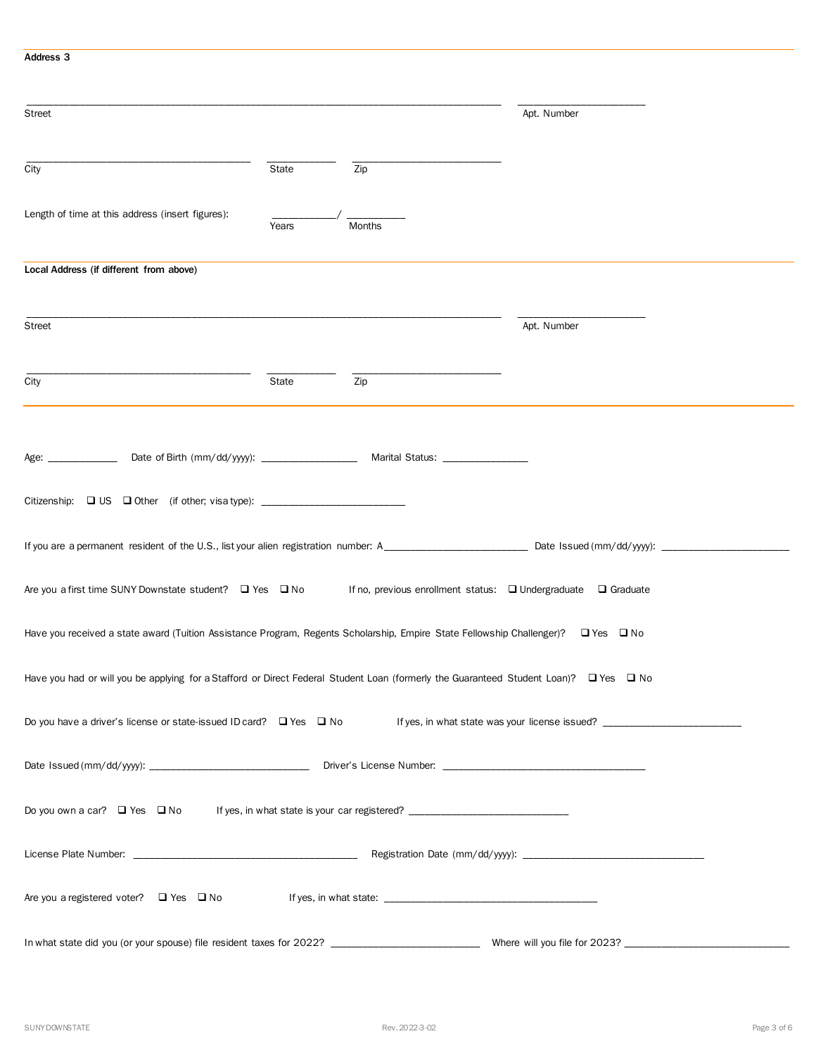# \_\_\_\_\_\_\_\_\_\_\_\_\_\_\_\_\_\_\_\_\_\_\_\_\_\_\_\_\_\_\_\_\_\_\_\_\_\_\_\_\_\_\_\_\_\_\_\_\_\_\_\_\_\_\_\_\_\_\_\_\_\_\_\_\_\_\_\_\_\_\_\_\_\_\_\_\_\_\_\_\_\_\_\_\_\_\_\_\_ \_\_\_\_\_\_\_\_\_\_\_\_\_\_\_\_\_\_\_\_\_\_\_\_ Street Apt. Number and Street Apt. 2006. The Street Apt. 2006. The Street Apt. 2006. The Street Apt. 2006. The Street Apt. 2007. The Street Apt. 2007. The Street Apt. 2007. The Street Apt. 2007. The Street Apt. 2007. The S \_\_\_\_\_\_\_\_\_\_\_\_\_\_\_\_\_\_\_\_\_\_\_\_\_\_\_\_\_\_\_\_\_\_\_\_\_\_\_\_\_\_ \_\_\_\_\_\_\_\_\_\_\_\_\_ \_\_\_\_\_\_\_\_\_\_\_\_\_\_\_\_\_\_\_\_\_\_\_\_\_\_\_\_ City **State** 2ip Length of time at this address (insert figures):  $\frac{1}{\text{Years}}$ **Months** Local Address (if different from above) \_\_\_\_\_\_\_\_\_\_\_\_\_\_\_\_\_\_\_\_\_\_\_\_\_\_\_\_\_\_\_\_\_\_\_\_\_\_\_\_\_\_\_\_\_\_\_\_\_\_\_\_\_\_\_\_\_\_\_\_\_\_\_\_\_\_\_\_\_\_\_\_\_\_\_\_\_\_\_\_\_\_\_\_\_\_\_\_\_ \_\_\_\_\_\_\_\_\_\_\_\_\_\_\_\_\_\_\_\_\_\_\_\_ Street Apt. Number and Street Apt. 2006. The Street Apt. 2006. The Street Apt. 2006. The Street Apt. 2006. The Street Apt. 2007. The Street Apt. 2007. The Street Apt. 2007. The Street Apt. 2007. The Street Apt. 2007. The S \_\_\_\_\_\_\_\_\_\_\_\_\_\_\_\_\_\_\_\_\_\_\_\_\_\_\_\_\_\_\_\_\_\_\_\_\_\_\_\_\_\_ \_\_\_\_\_\_\_\_\_\_\_\_\_ \_\_\_\_\_\_\_\_\_\_\_\_\_\_\_\_\_\_\_\_\_\_\_\_\_\_\_\_ City **State** 2ip Age: \_\_\_\_\_\_\_\_\_\_\_\_\_\_\_\_\_ Date of Birth (mm/dd/yyyy): \_\_\_\_\_\_\_\_\_\_\_\_\_\_\_\_\_\_\_\_\_\_\_\_\_\_\_\_\_ Marital Status: \_\_\_\_\_\_\_\_\_\_\_\_\_ Citizenship: ❑ US ❑ Other (if other; visa type): \_\_\_\_\_\_\_\_\_\_\_\_\_\_\_\_\_\_\_\_\_\_\_\_\_\_\_ If you are a permanent resident of the U.S., list your alien registration number: A\_\_\_\_\_\_\_\_\_\_\_\_\_\_\_\_\_\_\_\_\_\_\_\_\_\_\_ Date Issued (mm/dd/yyyy): \_\_\_\_\_\_\_\_\_\_\_\_\_\_\_\_\_\_\_\_\_\_\_\_ Are you a first time SUNY Downstate student? Q Yes Q No If no, previous enrollment status: Q Undergraduate Q Graduate Have you received a state award (Tuition Assistance Program, Regents Scholarship, Empire State Fellowship Challenger)? ❑ Yes ❑ No Have you had or will you be applying for a Stafford or Direct Federal Student Loan (formerly the Guaranteed Student Loan)? ❑ Yes ❑ No Do you have a driver's license or state-issued ID card?  $\square$  Yes  $\square$  No If yes, in what state was your license issued? Date Issued (mm/dd/yyyy): \_\_\_\_\_\_\_\_\_\_\_\_\_\_\_\_\_\_\_\_\_\_\_\_\_\_\_\_\_\_ Driver's License Number: \_\_\_\_\_\_\_\_\_\_\_\_\_\_\_\_\_\_\_\_\_\_\_\_\_\_\_\_\_\_\_\_\_\_\_\_\_\_ Do you own a car? □ Yes □ No If yes, in what state is your car registered? \_\_\_\_\_\_\_\_\_\_\_\_ License Plate Number: \_\_\_\_\_\_\_\_\_\_\_\_\_\_\_\_\_\_\_\_\_\_\_\_\_\_\_\_\_\_\_\_\_\_\_\_\_\_\_\_\_\_ Registration Date (mm/dd/yyyy): \_\_\_\_\_\_\_\_\_\_\_\_\_\_\_\_\_\_\_\_\_\_\_\_\_\_\_\_\_\_\_\_\_\_

Are you a registered voter? ❑ Yes ❑ No If yes, in what state: \_\_\_\_\_\_\_\_\_\_\_\_\_\_\_\_\_\_\_\_\_\_\_\_\_\_\_\_\_\_\_\_\_\_\_\_\_\_\_\_

In what state did you (or your spouse) file resident taxes for 2022? \_\_\_\_\_\_\_\_\_\_\_\_\_\_\_\_\_\_\_\_\_\_\_\_\_\_\_\_ Where will you file for 2023? \_\_\_\_\_\_\_\_\_\_\_\_\_\_\_\_\_\_\_\_\_\_\_\_\_\_\_\_\_\_\_

Address 3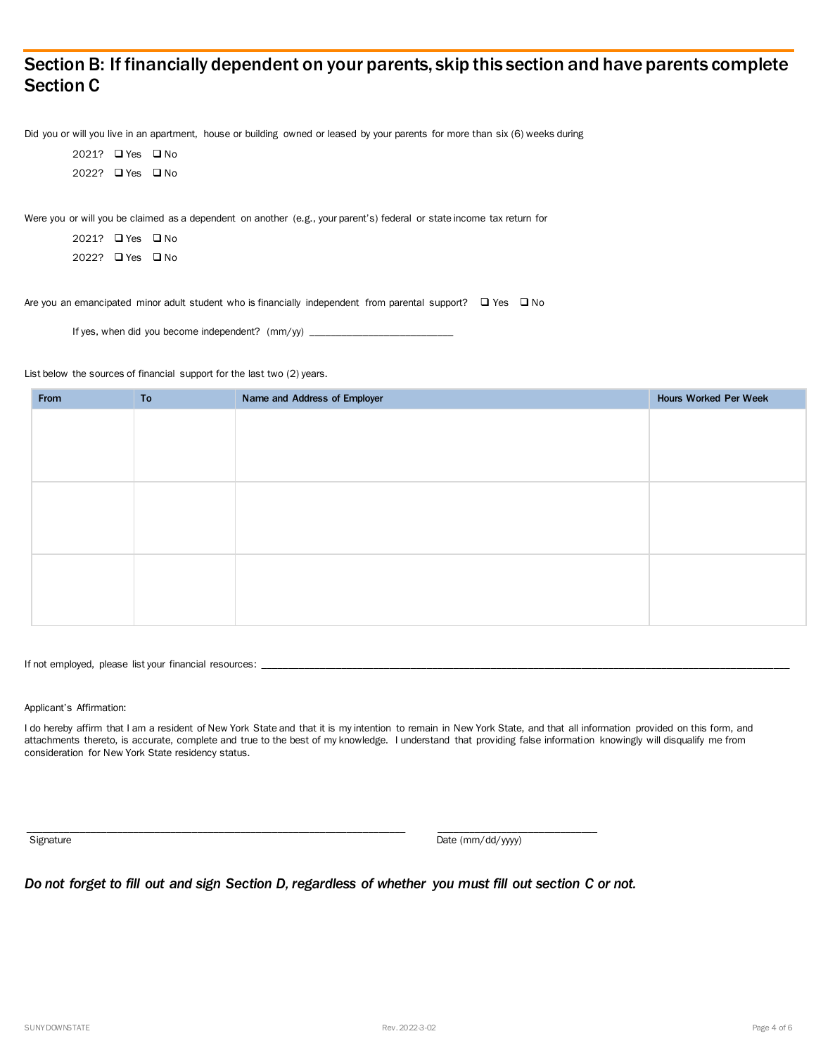#### Section B: If financially dependent on your parents, skip this section and have parents complete Section C

Did you or will you live in an apartment, house or building owned or leased by your parents for more than six (6) weeks during

2021? ❑ Yes ❑ No 2022? ❑ Yes ❑ No

Were you or will you be claimed as a dependent on another (e.g., your parent's) federal or state income tax return for

| 2021? □ Yes □ No |  |
|------------------|--|
| 20222 □ Yes □ No |  |

Are you an emancipated minor adult student who is financially independent from parental support?  $□$  Yes  $□$  No

If yes, when did you become independent?  $(mm/yy)$ 

List below the sources of financial support for the last two (2) years.

| From | To | Name and Address of Employer | Hours Worked Per Week |
|------|----|------------------------------|-----------------------|
|      |    |                              |                       |
|      |    |                              |                       |
|      |    |                              |                       |
|      |    |                              |                       |
|      |    |                              |                       |
|      |    |                              |                       |
|      |    |                              |                       |
|      |    |                              |                       |
|      |    |                              |                       |
|      |    |                              |                       |
|      |    |                              |                       |

If not employed, please list your financial resources: \_

Applicant's Affirmation:

I do hereby affirm that I am a resident of New York State and that it is my intention to remain in New York State, and that all information provided on this form, and attachments thereto, is accurate, complete and true to the best of my knowledge. I understand that providing false information knowingly will disqualify me from consideration for New York State residency status.

Signature Date (mm/dd/yyyy)

*Do not forget to fill out and sign Section D, regardless of whether you must fill out section C or not.*

\_\_\_\_\_\_\_\_\_\_\_\_\_\_\_\_\_\_\_\_\_\_\_\_\_\_\_\_\_\_\_\_\_\_\_\_\_\_\_\_\_\_\_\_\_\_\_\_\_\_\_\_\_\_\_\_\_\_\_\_\_\_\_\_\_\_\_\_\_\_\_ \_\_\_\_\_\_\_\_\_\_\_\_\_\_\_\_\_\_\_\_\_\_\_\_\_\_\_\_\_\_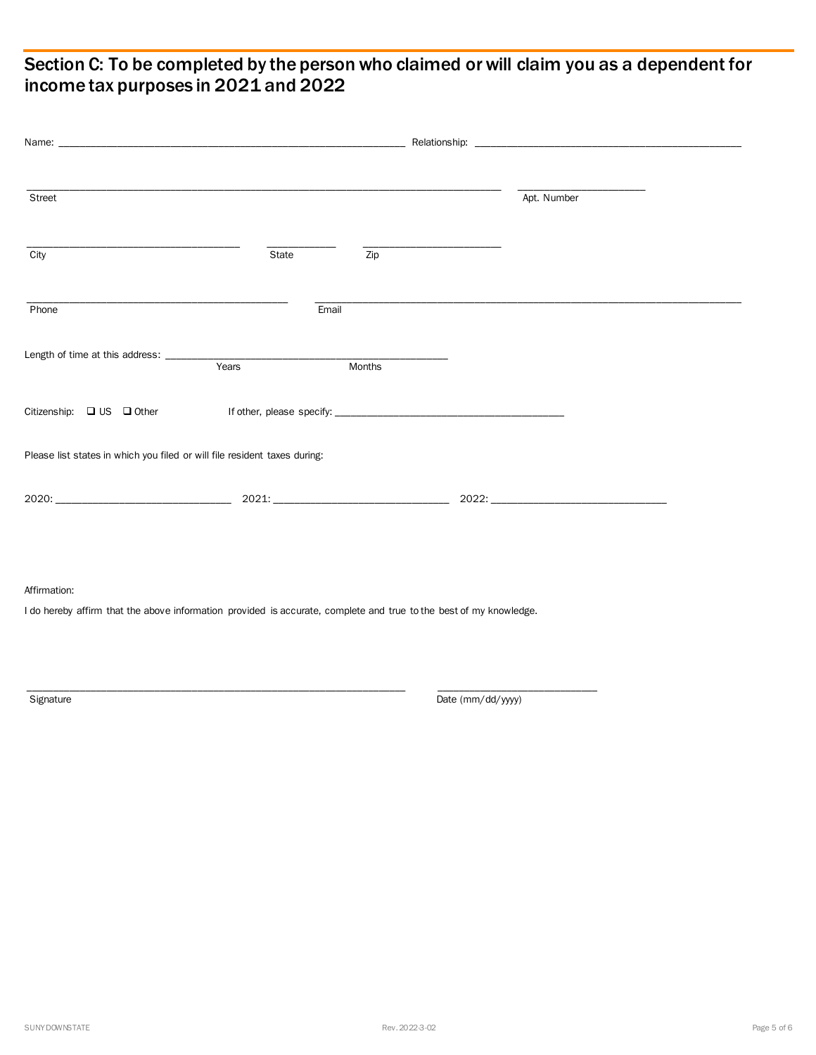### Section C: To be completed by the person who claimed or will claim you as a dependent for income tax purposes in 2021 and 2022

| Street                                                                    |       |        |  | Apt. Number |
|---------------------------------------------------------------------------|-------|--------|--|-------------|
| City                                                                      | State | Zip    |  |             |
| Phone                                                                     | Email |        |  |             |
|                                                                           |       | Months |  |             |
|                                                                           |       |        |  |             |
| Please list states in which you filed or will file resident taxes during: |       |        |  |             |
|                                                                           |       |        |  | 2022:       |

#### Affirmation:

I do hereby affirm that the above information provided is accurate, complete and true to the best of my knowledge.

\_\_\_\_\_\_\_\_\_\_\_\_\_\_\_\_\_\_\_\_\_\_\_\_\_\_\_\_\_\_\_\_\_\_\_\_\_\_\_\_\_\_\_\_\_\_\_\_\_\_\_\_\_\_\_\_\_\_\_\_\_\_\_\_\_\_\_\_\_\_\_ \_\_\_\_\_\_\_\_\_\_\_\_\_\_\_\_\_\_\_\_\_\_\_\_\_\_\_\_\_\_

Signature Date (mm/dd/yyyy)